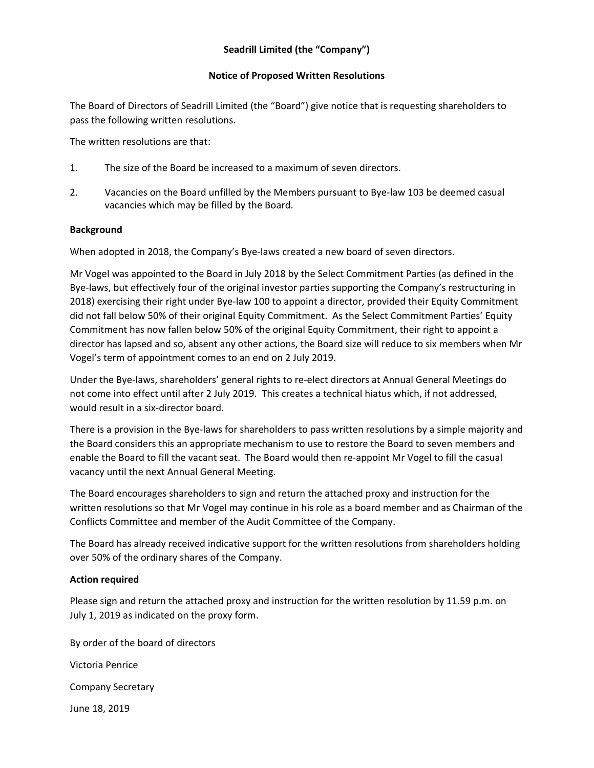## **Notice of Proposed Written Resolutions**

The Board of Directors of Seadrill Limited (the "Board") give notice that is requesting shareholders to pass the following written resolutions.

The written resolutions are that:

- 1. The size of the Board be increased to a maximum of seven directors.
- 2. Vacancies on the Board unfilled by the Members pursuant to Bye-law 103 be deemed casual vacancies which may be filled by the Board.

## **Background**

When adopted in 2018, the Company's Bye-laws created a new board of seven directors.

Mr Vogel was appointed to the Board in July 2018 by the Select Commitment Parties (as defined in the Bye-laws, but effectively four of the original investor parties supporting the Company's restructuring in 2018) exercising their right under Bye-law 100 to appoint a director, provided their Equity Commitment did not fall below 50% of their original Equity Commitment. As the Select Commitment Parties' Equity Commitment has now fallen below 50% of the original Equity Commitment, their right to appoint a director has lapsed and so, absent any other actions, the Board size will reduce to six members when Mr Vogel's term of appointment comes to an end on 2 July 2019.

Under the Bye-laws, shareholders' general rights to re-elect directors at Annual General Meetings do not come into effect until after 2 July 2019. This creates a technical hiatus which, if not addressed, would result in a six-director board.

There is a provision in the Bye-laws for shareholders to pass written resolutions by a simple majority and the Board considers this an appropriate mechanism to use to restore the Board to seven members and enable the Board to fill the vacant seat. The Board would then re-appoint Mr Vogel to fill the casual vacancy until the next Annual General Meeting.

The Board encourages shareholders to sign and return the attached proxy and instruction for the written resolutions so that Mr Vogel may continue in his role as a board member and as Chairman of the Conflicts Committee and member of the Audit Committee of the Company.

The Board has already received indicative support for the written resolutions from shareholders holding over 50% of the ordinary shares of the Company.

## **Action required**

Please sign and return the attached proxy and instruction for the written resolution by 11.59 p.m. on July 1, 2019 as indicated on the proxy form.

By order of the board of directors Victoria Penrice Company Secretary June 18, 2019